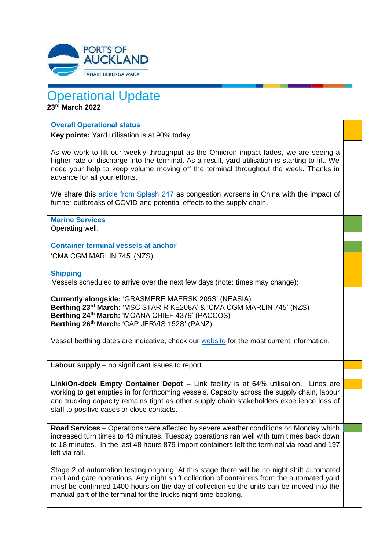

# Operational Update

**23rd March 2022**

### **Overall Operational status**

**Key points:** Yard utilisation is at 90% today.

As we work to lift our weekly throughput as the Omicron impact fades, we are seeing a higher rate of discharge into the terminal. As a result, yard utilisation is starting to lift. We need your help to keep volume moving off the terminal throughout the week. Thanks in advance for all your efforts.

We share this [article from Splash 247](https://apc01.safelinks.protection.outlook.com/?url=https%3A%2F%2Fsplash247.com%2Fchinese-port-congestion-worsens%2F&data=04%7C01%7Cdruryt%40POAL.CO.NZ%7Cfc307ea3d14f490c1cad08da0c46a65d%7C2b23a40942664f41b89e60e72a40ef7f%7C0%7C0%7C637835794813721717%7CUnknown%7CTWFpbGZsb3d8eyJWIjoiMC4wLjAwMDAiLCJQIjoiV2luMzIiLCJBTiI6Ik1haWwiLCJXVCI6Mn0%3D%7C3000&sdata=e5x7uJR6JkhUlt9%2FgoloKwlVw0czbXXWnjIQkw3EsD8%3D&reserved=0) as congestion worsens in China with the impact of further outbreaks of COVID and potential effects to the supply chain.

**Marine Services**

Operating well.

**Container terminal vessels at anchor**

'CMA CGM MARLIN 745' (NZS)

**Shipping**

Vessels scheduled to arrive over the next few days (note: times may change):

**Currently alongside:** 'GRASMERE MAERSK 205S' (NEASIA) **Berthing 23rd March:** 'MSC STAR R KE208A' & 'CMA CGM MARLIN 745' (NZS) **Berthing 24th March:** 'MOANA CHIEF 4379' (PACCOS) **Berthing 26th March:** 'CAP JERVIS 152S' (PANZ)

Vessel berthing dates are indicative, check our [website](https://apc01.safelinks.protection.outlook.com/?url=http%3A%2F%2Fwww.poal.co.nz%2F&data=04%7C01%7CBallM%40poal.co.nz%7Cf81681dfd77a4707771f08d99e6ca75c%7C2b23a40942664f41b89e60e72a40ef7f%7C0%7C0%7C637715011762958127%7CUnknown%7CTWFpbGZsb3d8eyJWIjoiMC4wLjAwMDAiLCJQIjoiV2luMzIiLCJBTiI6Ik1haWwiLCJXVCI6Mn0%3D%7C1000&sdata=Fha6YVp7kzv4EzxbVyWrJ6MwaPf%2FJYKhrqKzj7tEdT4%3D&reserved=0) for the most current information.

**Labour supply** – no significant issues to report.

**Link/On-dock Empty Container Depot** – Link facility is at 64% utilisation. Lines are working to get empties in for forthcoming vessels. Capacity across the supply chain, labour and trucking capacity remains tight as other supply chain stakeholders experience loss of staff to positive cases or close contacts.

**Road Services** – Operations were affected by severe weather conditions on Monday which increased turn times to 43 minutes. Tuesday operations ran well with turn times back down to 18 minutes. In the last 48 hours 879 import containers left the terminal via road and 197 left via rail.

Stage 2 of automation testing ongoing. At this stage there will be no night shift automated road and gate operations. Any night shift collection of containers from the automated yard must be confirmed 1400 hours on the day of collection so the units can be moved into the manual part of the terminal for the trucks night-time booking.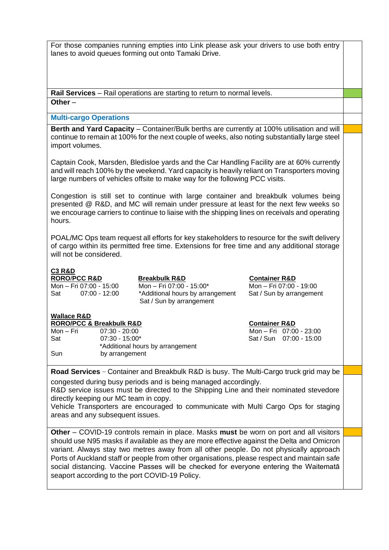For those companies running empties into Link please ask your drivers to use both entry lanes to avoid queues forming out onto Tamaki Drive.

**Rail Services** – Rail operations are starting to return to normal levels. **Other** –

#### **Multi-cargo Operations**

**Berth and Yard Capacity** – Container/Bulk berths are currently at 100% utilisation and will continue to remain at 100% for the next couple of weeks, also noting substantially large steel import volumes.

Captain Cook, Marsden, Bledisloe yards and the Car Handling Facility are at 60% currently and will reach 100% by the weekend. Yard capacity is heavily reliant on Transporters moving large numbers of vehicles offsite to make way for the following PCC visits.

Congestion is still set to continue with large container and breakbulk volumes being presented @ R&D, and MC will remain under pressure at least for the next few weeks so we encourage carriers to continue to liaise with the shipping lines on receivals and operating hours.

POAL/MC Ops team request all efforts for key stakeholders to resource for the swift delivery of cargo within its permitted free time. Extensions for free time and any additional storage will not be considered.

## **C3 R&D**

**RORO**/**PCC R&D Breakbulk R&D Container R&D**

Mon – Fri 07:00 - 15:00 Mon – Fri 07:00 - 15:00\* Mon – Fri 07:00 - 19:00 Sat 07:00 - 12:00 \*Additional hours by arrangement Sat / Sun by arrangement Sat / Sun by arrangement

#### **Wallace R&D**

**RORO/PCC & Breakbulk R&D Container R&D** Mon – Fri 07:30 - 20:00 Mon – Fri 07:00 - 23:00 Sat 07:30 - 15:00\* Sat / Sun 07:00 - 15:00 \*Additional hours by arrangement Sun by arrangement

**Road Services** – Container and Breakbulk R&D is busy. The Multi-Cargo truck grid may be congested during busy periods and is being managed accordingly.

R&D service issues must be directed to the Shipping Line and their nominated stevedore directly keeping our MC team in copy.

Vehicle Transporters are encouraged to communicate with Multi Cargo Ops for staging areas and any subsequent issues.

**Other** – COVID-19 controls remain in place. Masks **must** be worn on port and all visitors should use N95 masks if available as they are more effective against the Delta and Omicron variant. Always stay two metres away from all other people. Do not physically approach Ports of Auckland staff or people from other organisations, please respect and maintain safe social distancing. Vaccine Passes will be checked for everyone entering the Waitematā seaport according to the port COVID-19 Policy.